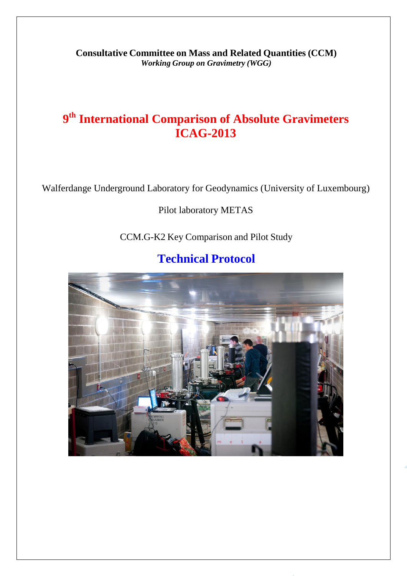**Consultative Committee on Mass and Related Quantities (CCM)** *Working Group on Gravimetry (WGG)*

# **9 th International Comparison of Absolute Gravimeters ICAG-2013**

Walferdange Underground Laboratory for Geodynamics (University of Luxembourg)

# Pilot laboratory METAS

CCM.G-K2 Key Comparison and Pilot Study

# **Technical Protocol**

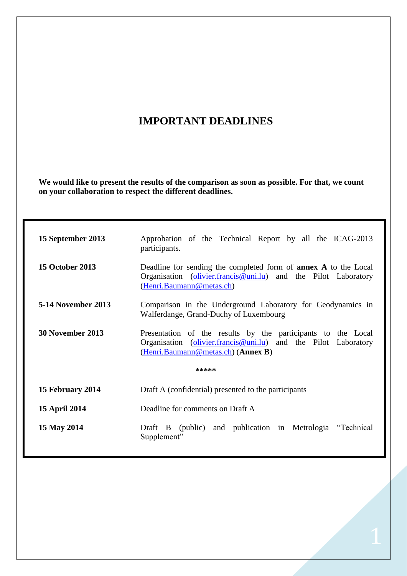# **IMPORTANT DEADLINES**

**We would like to present the results of the comparison as soon as possible. For that, we count on your collaboration to respect the different deadlines.** 

| 15 September 2013         | Approbation of the Technical Report by all the ICAG-2013<br>participants.                                                                                            |
|---------------------------|----------------------------------------------------------------------------------------------------------------------------------------------------------------------|
| <b>15 October 2013</b>    | Deadline for sending the completed form of <b>annex</b> A to the Local<br>Organisation (olivier.francis@uni.lu) and the Pilot Laboratory<br>(Henri.Baumann@metas.ch) |
| <b>5-14 November 2013</b> | Comparison in the Underground Laboratory for Geodynamics in<br>Walferdange, Grand-Duchy of Luxembourg                                                                |
| 30 November 2013          | Presentation of the results by the participants to the Local<br>Organisation (olivier.francis@uni.lu) and the Pilot Laboratory<br>(Henri.Baumann@metas.ch) (Annex B) |
|                           | *****                                                                                                                                                                |
| 15 February 2014          | Draft A (confidential) presented to the participants                                                                                                                 |
| <b>15 April 2014</b>      | Deadline for comments on Draft A                                                                                                                                     |
| 15 May 2014               | Draft B (public) and publication in Metrologia "Technical<br>Supplement"                                                                                             |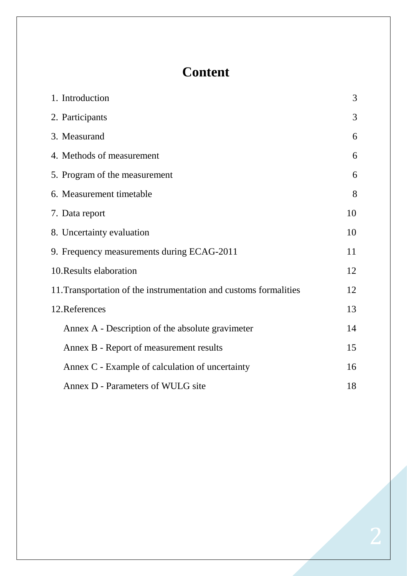# **Content**

| 1. Introduction                                                   | 3  |
|-------------------------------------------------------------------|----|
| 2. Participants                                                   | 3  |
| 3. Measurand                                                      | 6  |
| 4. Methods of measurement                                         | 6  |
| 5. Program of the measurement                                     | 6  |
| 6. Measurement timetable                                          | 8  |
| 7. Data report                                                    | 10 |
| 8. Uncertainty evaluation                                         | 10 |
| 9. Frequency measurements during ECAG-2011                        | 11 |
| 10. Results elaboration                                           | 12 |
| 11. Transportation of the instrumentation and customs formalities | 12 |
| 12. References                                                    | 13 |
| Annex A - Description of the absolute gravimeter                  | 14 |
| Annex B - Report of measurement results                           | 15 |
| Annex C - Example of calculation of uncertainty                   | 16 |
| Annex D - Parameters of WULG site                                 | 18 |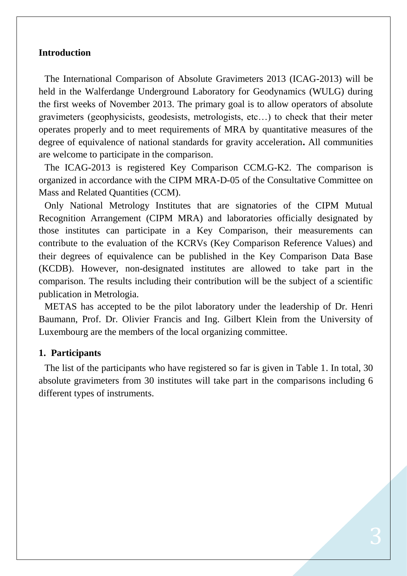# **Introduction**

The International Comparison of Absolute Gravimeters 2013 (ICAG-2013) will be held in the Walferdange Underground Laboratory for Geodynamics (WULG) during the first weeks of November 2013. The primary goal is to allow operators of absolute gravimeters (geophysicists, geodesists, metrologists, etc…) to check that their meter operates properly and to meet requirements of MRA by quantitative measures of the degree of equivalence of national standards for gravity acceleration**.** All communities are welcome to participate in the comparison.

The ICAG-2013 is registered Key Comparison CCM.G-K2. The comparison is organized in accordance with the CIPM MRA-D-05 of the Consultative Committee on Mass and Related Quantities (CCM).

Only National Metrology Institutes that are signatories of the CIPM Mutual Recognition Arrangement (CIPM MRA) and laboratories officially designated by those institutes can participate in a Key Comparison, their measurements can contribute to the evaluation of the KCRVs (Key Comparison Reference Values) and their degrees of equivalence can be published in the Key Comparison Data Base (KCDB). However, non-designated institutes are allowed to take part in the comparison. The results including their contribution will be the subject of a scientific publication in Metrologia.

METAS has accepted to be the pilot laboratory under the leadership of Dr. Henri Baumann, Prof. Dr. Olivier Francis and Ing. Gilbert Klein from the University of Luxembourg are the members of the local organizing committee.

# **1. Participants**

The list of the participants who have registered so far is given in Table 1. In total, 30 absolute gravimeters from 30 institutes will take part in the comparisons including 6 different types of instruments.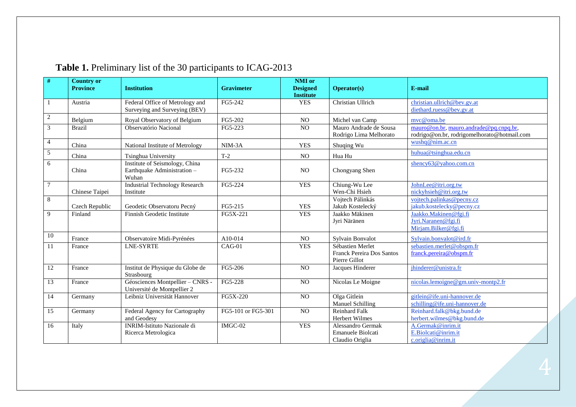| #               | <b>Country or</b><br><b>Province</b> | <b>Institution</b>                                                     | <b>Gravimeter</b>  | NMI or<br><b>Designed</b> | <b>Operator(s)</b>                                                    | E-mail                                                                                |
|-----------------|--------------------------------------|------------------------------------------------------------------------|--------------------|---------------------------|-----------------------------------------------------------------------|---------------------------------------------------------------------------------------|
|                 |                                      |                                                                        |                    | <b>Institute</b>          |                                                                       |                                                                                       |
|                 | Austria                              | Federal Office of Metrology and<br>Surveying and Surveying (BEV)       | FG5-242            | <b>YES</b>                | Christian Ullrich                                                     | christian.ullrich@bev.gv.at<br>diethard.ruess@bev.gv.at                               |
|                 |                                      |                                                                        |                    |                           |                                                                       |                                                                                       |
| 2               | Belgium                              | Royal Observatory of Belgium                                           | FG5-202            | N <sub>O</sub>            | Michel van Camp                                                       | mvc@oma.be                                                                            |
| 3               | <b>Brazil</b>                        | Observatório Nacional                                                  | FG5-223            | $\overline{NO}$           | Mauro Andrade de Sousa<br>Rodrigo Lima Melhorato                      | mauro@on.br, mauro.andrade@pq.cnpq.br,<br>rodrigo@on.br, rodrigomelhorato@hotmail.com |
| $\overline{4}$  | China                                | National Institute of Metrology                                        | NIM-3A             | <b>YES</b>                | Shuqing Wu                                                            | wushq@nim.ac.cn                                                                       |
| 5               | China                                | Tsinghua University                                                    | $T-2$              | <b>NO</b>                 | Hua Hu                                                                | huhua@tsinghua.edu.cn                                                                 |
| 6               | China                                | Institute of Seismology, China<br>Earthquake Administration -<br>Wuhan | FG5-232            | N <sub>O</sub>            | Chongyang Shen                                                        | shency63@yahoo.com.cn                                                                 |
| $\overline{7}$  | Chinese Taipei                       | <b>Industrial Technology Research</b><br>Institute                     | FG5-224            | <b>YES</b>                | Chiung-Wu Lee<br>Wen-Chi Hsieh                                        | JohnLee@itri.org.tw<br>nickyhsieh@itri.org.tw                                         |
| 8               | Czech Republic                       | Geodetic Observatoru Pecný                                             | FG5-215            | <b>YES</b>                | Vojtech Pálinkás<br>Jakub Kostelecký                                  | vojtech.palinkas@pecny.cz<br>jakub.kostelecky@pecny.cz                                |
| 9               | Finland                              | Finnish Geodetic Institute                                             | FG5X-221           | <b>YES</b>                | Jaakko Mäkinen<br>Jyri Näränen                                        | Jaakko.Makinen@fgi.fi<br>Jyri.Naranen@fgi.fi<br>Mirjam.Bilker@fgi.fi                  |
| 10              | France                               | Observatoire Midi-Pyrénées                                             | A10-014            | N <sub>O</sub>            | <b>Sylvain Bonvalot</b>                                               | Sylvain.bonvalot@ird.fr                                                               |
| 11              | France                               | <b>LNE-SYRTE</b>                                                       | $CAG-01$           | <b>YES</b>                | Sébastien Merlet<br><b>Franck Pereira Dos Santos</b><br>Pierre Gillot | sebastien.merlet@obspm.fr<br>franck.pereira@obspm.fr                                  |
| 12              | France                               | Institut de Physique du Globe de<br>Strasbourg                         | FG5-206            | N <sub>O</sub>            | Jacques Hinderer                                                      | jhinderer@unistra.fr                                                                  |
| $\overline{13}$ | France                               | Géosciences Montpellier - CNRS -<br>Université de Montpellier 2        | FG5-228            | $\overline{NO}$           | Nicolas Le Moigne                                                     | nicolas.lemoigne@gm.univ-montp2.fr                                                    |
| 14              | Germany                              | Leibniz Universität Hannover                                           | FG5X-220           | NO                        | Olga Gitlein<br><b>Manuel Schilling</b>                               | gitlein@ife.uni-hannover.de<br>schilling@ife.uni-hannover.de                          |
| 15              | Germany                              | Federal Agency for Cartography<br>and Geodesy                          | FG5-101 or FG5-301 | NO                        | Reinhard Falk<br>Herbert Wilmes                                       | Reinhard.falk@bkg.bund.de<br>herbert.wilmes@bkg.bund.de                               |
| 16              | Italy                                | <b>INRIM-Istituto Nazionale di</b><br>Ricerca Metrologica              | IMGC-02            | <b>YES</b>                | Alessandro Germak<br>Emanuele Biolcati<br>Claudio Origlia             | A.Germak@inrim.it<br>E.Biolcati@inrim.it<br>c.origlia@inrim.it                        |

# **Table 1.** Preliminary list of the 30 participants to ICAG-2013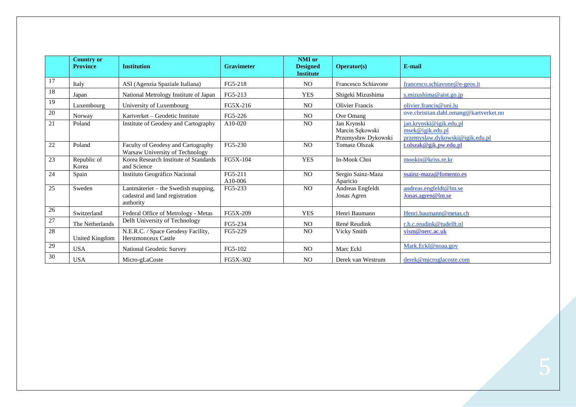|    | <b>Country or</b><br><b>Province</b> | <b>Institution</b>                                                                  | <b>Gravimeter</b>  | NMI or<br><b>Designed</b><br><b>Institute</b> | <b>Operator(s)</b>                                    | E-mail                                                                         |
|----|--------------------------------------|-------------------------------------------------------------------------------------|--------------------|-----------------------------------------------|-------------------------------------------------------|--------------------------------------------------------------------------------|
| 17 | Italy                                | ASI (Agenzia Spaziale Italiana)                                                     | FG5-218            | N <sub>O</sub>                                | Francesco Schiavone                                   | francesco.schiavone@e-geos.it                                                  |
| 18 | Japan                                | National Metrology Institute of Japan                                               | FG5-213            | <b>YES</b>                                    | Shigeki Mizushima                                     | s.mizushima@aist.go.jp                                                         |
| 19 | Luxembourg                           | University of Luxembourg                                                            | FG5X-216           | N <sub>O</sub>                                | <b>Olivier Francis</b>                                | olivier.francis@uni.lu                                                         |
| 20 | Norway                               | Kartverket – Geodetic Institute                                                     | FG5-226            | N <sub>O</sub>                                | Ove Omang                                             | ove.christian.dahl.omang@kartverket.no                                         |
| 21 | Poland                               | Institute of Geodesy and Cartography                                                | A10-020            | N <sub>O</sub>                                | Jan Krynski<br>Marcin Sękowski<br>Przemysław Dykowski | jan.krynski@igik.edu.pl<br>msek@igik.edu.pl<br>przemyslaw.dykowski@igik.edu.pl |
| 22 | Poland                               | Faculty of Geodesy and Cartography<br>Warsaw University of Technology               | FG5-230            | N <sub>O</sub>                                | <b>Tomasz Olszak</b>                                  | t.olszak@gik.pw.edu.pl                                                         |
| 23 | Republic of<br>Korea                 | Korea Research Institute of Standards<br>and Science                                | FG5X-104           | <b>YES</b>                                    | In-Mook Choi                                          | mookin@kriss.re.kr                                                             |
| 24 | Spain                                | Instituto Geográfico Nacional                                                       | FG5-211<br>A10-006 | N <sub>O</sub>                                | Sergio Sainz-Maza<br>Aparicio                         | ssainz-maza@fomento.es                                                         |
| 25 | Sweden                               | Lantmäteriet – the Swedish mapping,<br>cadastral and land registration<br>authority | FG5-233            | N <sub>O</sub>                                | Andreas Engfeldt<br>Jonas Agren                       | andreas.engfeldt@lm.se<br>Jonas.agren@lm.se                                    |
| 26 | Switzerland                          | Federal Office of Metrology - Metas                                                 | FG5X-209           | <b>YES</b>                                    | Henri Baumann                                         | Henri.baumann@metas.ch                                                         |
| 27 | The Netherlands                      | Delft University of Technology                                                      | FG5-234            | N <sub>O</sub>                                | René Reudink                                          | r.h.c.reudink@tudelft.nl                                                       |
| 28 | United Kingdom                       | N.E.R.C. / Space Geodesy Facility,<br>Herstmonceux Castle                           | FG5-229            | N <sub>O</sub>                                | Vicky Smith                                           | vism@nerc.ac.uk                                                                |
| 29 | <b>USA</b>                           | National Geodetic Survey                                                            | FG5-102            | N <sub>O</sub>                                | Marc Eckl                                             | Mark.Eckl@noaa.gov                                                             |
| 30 | <b>USA</b>                           | Micro-gLaCoste                                                                      | FG5X-302           | N <sub>O</sub>                                | Derek van Westrum                                     | derek@microglacoste.com                                                        |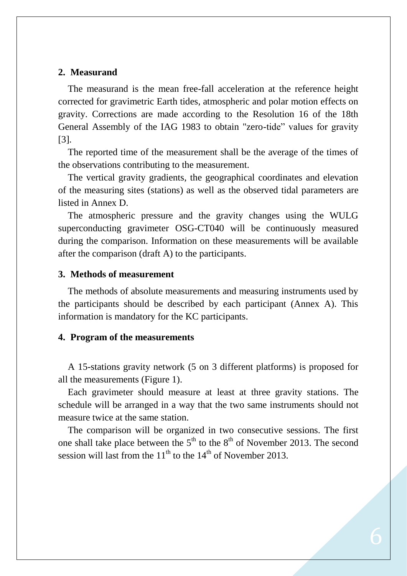## **2. Measurand**

The measurand is the mean free-fall acceleration at the reference height corrected for gravimetric Earth tides, atmospheric and polar motion effects on gravity. Corrections are made according to the Resolution 16 of the 18th General Assembly of the IAG 1983 to obtain "zero-tide" values for gravity [3].

The reported time of the measurement shall be the average of the times of the observations contributing to the measurement.

The vertical gravity gradients, the geographical coordinates and elevation of the measuring sites (stations) as well as the observed tidal parameters are listed in Annex D.

The atmospheric pressure and the gravity changes using the WULG superconducting gravimeter OSG-CT040 will be continuously measured during the comparison. Information on these measurements will be available after the comparison (draft A) to the participants.

## **3. Methods of measurement**

The methods of absolute measurements and measuring instruments used by the participants should be described by each participant (Annex A). This information is mandatory for the KC participants.

### **4. Program of the measurements**

A 15-stations gravity network (5 on 3 different platforms) is proposed for all the measurements (Figure 1).

Each gravimeter should measure at least at three gravity stations. The schedule will be arranged in a way that the two same instruments should not measure twice at the same station.

The comparison will be organized in two consecutive sessions. The first one shall take place between the  $5<sup>th</sup>$  to the  $8<sup>th</sup>$  of November 2013. The second session will last from the  $11<sup>th</sup>$  to the  $14<sup>th</sup>$  of November 2013.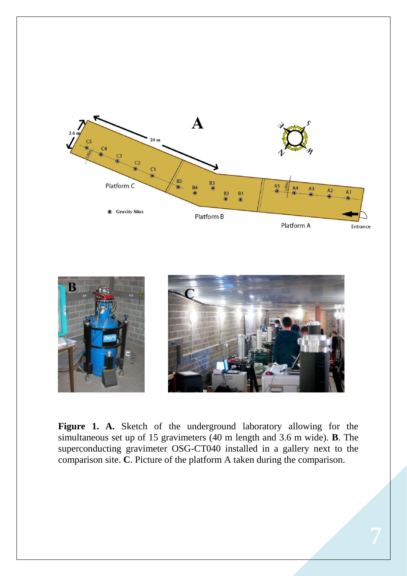



**Figure 1. A.** Sketch of the underground laboratory allowing for the simultaneous set up of 15 gravimeters (40 m length and 3.6 m wide). **B**. The superconducting gravimeter OSG-CT040 installed in a gallery next to the comparison site. **C**. Picture of the platform A taken during the comparison.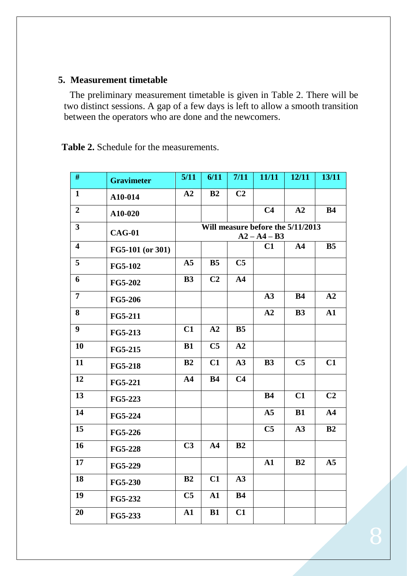# **5. Measurement timetable**

The preliminary measurement timetable is given in Table 2. There will be two distinct sessions. A gap of a few days is left to allow a smooth transition between the operators who are done and the newcomers.

**Table 2.** Schedule for the measurements.

| #                       | <b>Gravimeter</b> | 5/11           | 6/11           | 7/11           | 11/11          | 12/11                             | 13/11          |
|-------------------------|-------------------|----------------|----------------|----------------|----------------|-----------------------------------|----------------|
| $\mathbf{1}$            | A10-014           | A2             | B2             | C <sub>2</sub> |                |                                   |                |
| $\boldsymbol{2}$        | A10-020           |                |                |                | C <sub>4</sub> | A2                                | <b>B4</b>      |
| $\overline{\mathbf{3}}$ | <b>CAG-01</b>     |                |                |                | $A2 - A4 - B3$ | Will measure before the 5/11/2013 |                |
| $\overline{\mathbf{4}}$ | FG5-101 (or 301)  |                |                |                | C1             | A <sub>4</sub>                    | B <sub>5</sub> |
| 5                       | <b>FG5-102</b>    | ${\bf A5}$     | B <sub>5</sub> | C <sub>5</sub> |                |                                   |                |
| 6                       | <b>FG5-202</b>    | <b>B3</b>      | C <sub>2</sub> | A <sub>4</sub> |                |                                   |                |
| $\overline{7}$          | <b>FG5-206</b>    |                |                |                | A3             | <b>B4</b>                         | A2             |
| 8                       | <b>FG5-211</b>    |                |                |                | A2             | B3                                | ${\bf A1}$     |
| $\boldsymbol{9}$        | <b>FG5-213</b>    | C1             | A2             | B <sub>5</sub> |                |                                   |                |
| 10                      | <b>FG5-215</b>    | <b>B1</b>      | C <sub>5</sub> | A2             |                |                                   |                |
| 11                      | <b>FG5-218</b>    | B2             | C1             | A3             | B3             | C <sub>5</sub>                    | C1             |
| 12                      | <b>FG5-221</b>    | A <sub>4</sub> | <b>B4</b>      | C <sub>4</sub> |                |                                   |                |
| 13                      | <b>FG5-223</b>    |                |                |                | <b>B4</b>      | C1                                | C <sub>2</sub> |
| 14                      | <b>FG5-224</b>    |                |                |                | A <sub>5</sub> | B1                                | A <sub>4</sub> |
| 15                      | <b>FG5-226</b>    |                |                |                | C <sub>5</sub> | A3                                | B2             |
| 16                      | <b>FG5-228</b>    | C <sub>3</sub> | A <sub>4</sub> | B2             |                |                                   |                |
| 17                      | <b>FG5-229</b>    |                |                |                | ${\bf A1}$     | B2                                | A <sub>5</sub> |
| 18                      | <b>FG5-230</b>    | B2             | C1             | A3             |                |                                   |                |
| 19                      | FG5-232           | C <sub>5</sub> | $\mathbf{A1}$  | <b>B4</b>      |                |                                   |                |
| 20                      | FG5-233           | ${\bf A1}$     | B1             | C1             |                |                                   |                |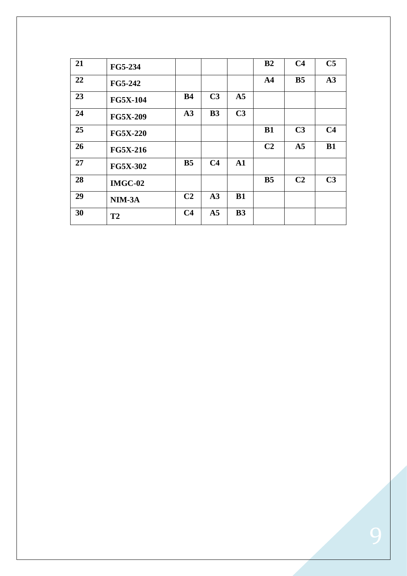| 21 | FG5-234         |                |                |                | B <sub>2</sub> | C <sub>4</sub> | C <sub>5</sub> |
|----|-----------------|----------------|----------------|----------------|----------------|----------------|----------------|
| 22 | <b>FG5-242</b>  |                |                |                | A <sub>4</sub> | B <sub>5</sub> | A3             |
| 23 | <b>FG5X-104</b> | B <sub>4</sub> | C <sub>3</sub> | A <sub>5</sub> |                |                |                |
| 24 | <b>FG5X-209</b> | A3             | B3             | C <sub>3</sub> |                |                |                |
| 25 | <b>FG5X-220</b> |                |                |                | B1             | C <sub>3</sub> | C <sub>4</sub> |
| 26 | <b>FG5X-216</b> |                |                |                | C <sub>2</sub> | A <sub>5</sub> | B1             |
| 27 | <b>FG5X-302</b> | B <sub>5</sub> | C <sub>4</sub> | $\mathbf{A1}$  |                |                |                |
| 28 | <b>IMGC-02</b>  |                |                |                | B <sub>5</sub> | C <sub>2</sub> | C <sub>3</sub> |
| 29 | NIM-3A          | C <sub>2</sub> | A3             | B1             |                |                |                |
| 30 | <b>T2</b>       | C <sub>4</sub> | A <sub>5</sub> | B <sub>3</sub> |                |                |                |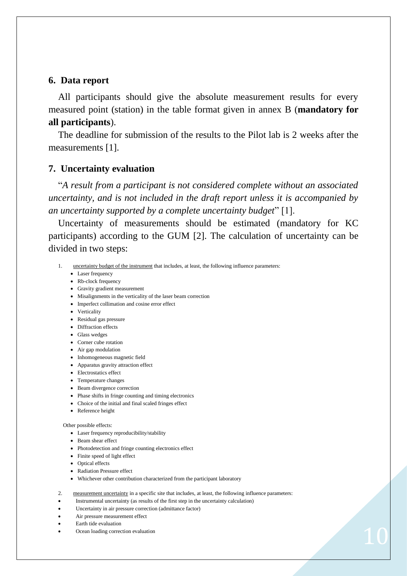### **6. Data report**

All participants should give the absolute measurement results for every measured point (station) in the table format given in annex B (**mandatory for all participants**).

The deadline for submission of the results to the Pilot lab is 2 weeks after the measurements [1].

### **7. Uncertainty evaluation**

"*A result from a participant is not considered complete without an associated uncertainty, and is not included in the draft report unless it is accompanied by an uncertainty supported by a complete uncertainty budget*" [1].

Uncertainty of measurements should be estimated (mandatory for KC participants) according to the GUM [2]. The calculation of uncertainty can be divided in two steps:

- 1. uncertainty budget of the instrument that includes, at least, the following influence parameters:
	- Laser frequency
	- Rb-clock frequency
	- Gravity gradient measurement
	- Misalignments in the verticality of the laser beam correction
	- Imperfect collimation and cosine error effect
	- Verticality
	- Residual gas pressure
	- Diffraction effects
	- Glass wedges
	- Corner cube rotation
	- Air gap modulation
	- Inhomogeneous magnetic field
	- Apparatus gravity attraction effect
	- Electrostatics effect
	- Temperature changes
	- Beam divergence correction
	- Phase shifts in fringe counting and timing electronics
	- Choice of the initial and final scaled fringes effect
	- Reference height

#### Other possible effects:

- Laser frequency reproducibility/stability
- Beam shear effect
- Photodetection and fringe counting electronics effect
- Finite speed of light effect
- Optical effects
- Radiation Pressure effect
- Whichever other contribution characterized from the participant laboratory
- 2. measurement uncertainty in a specific site that includes, at least, the following influence parameters:
- Instrumental uncertainty (as results of the first step in the uncertainty calculation)
- Uncertainty in air pressure correction (admittance factor)
- Air pressure measurement effect
- Earth tide evaluation
- Ocean loading correction evaluation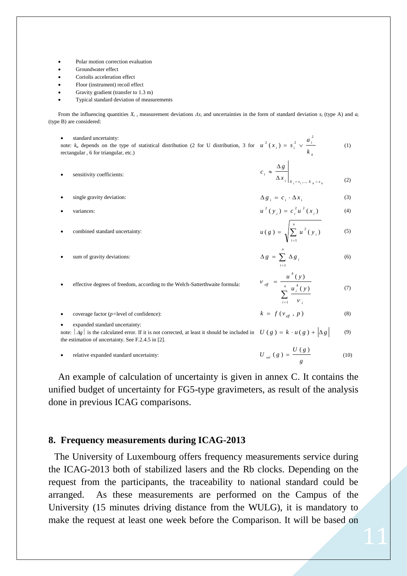- Polar motion correction evaluation
- Groundwater effect
- Coriolis acceleration effect
- Floor (instrument) recoil effect
- Gravity gradient (transfer to 1.3 m)
- Typical standard deviation of measurements

From the influencing quantities  $X_i$ , measurement deviations  $\Delta x_i$  and uncertainties in the form of standard deviation  $s_i$  (type A) and  $a_i$ (type B) are considered:

 standard uncertainty: note: *k<sup>a</sup>* depends on the type of statistical distribution (2 for U distribution, 3 for rectangular , 6 for triangular, etc.) *a i*) =  $s_i^2 \vee \frac{a_i}{k}$  $u^{2}(x_{i}) = s_{i}^{2} \vee \frac{a}{x_{i}}$  $x_i = s_i^2 \sqrt{\frac{a_i^2}{a_i^2}}$ (1)

- sensitivity coefficients:  $i \mid X_1 = x_1, ..., X_N = x_N$ *i b X*  $c_i \approx \frac{\Delta g}{\Delta g}$  $\Delta x_i \Big|_{X_i = x_1, ..., X_N}$  $\approx \frac{\Delta}{\sqrt{2}}$  $x_1 = x_1, \ldots$ (2)
- single gravity deviation:  $\Delta g_i = c_i \cdot \Delta x_i$ (3)  $2 \times 2$

$$
u^2(y_i) = c_i^2 u^2(x_i)
$$
 (4)

- combined standard uncertainty:  $\sum_{i=1}$  $=$ *i*  $u(g) = \sqrt{\sum u^2(y)}$ 1  $(g) = \sqrt{\sum u^2(y_i)}$  $(5)$
- sum of gravity deviations:

(6)

 effective degrees of freedom, according to the Welch-Satterthwaite formula:  $\sum_{i=1}$  $=$   $\frac{1}{n}$  $i=1$   $\qquad \qquad$   $\qquad$   $i=1$ *i u u u u j* (*y*  $u^4(y)$ 1 4 4  $(y)$  $(y)$ V V (7)

 coverage factor (*p=*level of confidence):  $k = f(v_{\text{eff}} , p)$ (8) expanded standard uncertainty: (9)

note:  $\left| \begin{array}{c} Ag \\ Ag \end{array} \right|$  is the calculated error. If it is not corrected, at least it should be included in  $U(g) = k \cdot u(g) + \left| \begin{array}{c} Ag \\ Ag \end{array} \right|$ the estimation of uncertainty. See F.2.4.5 in [2].

relative expanded standard uncertainty:

$$
U_{rel}(g) = \frac{U(g)}{g} \tag{10}
$$

 $\sum_{i=1}$  $\Delta g = \sum \Delta$ *n*

*i*  $g = \sum \Delta g$ 1

An example of calculation of uncertainty is given in annex C. It contains the unified budget of uncertainty for FG5-type gravimeters, as result of the analysis done in previous ICAG comparisons.

## **8. Frequency measurements during ICAG-2013**

The University of Luxembourg offers frequency measurements service during the ICAG-2013 both of stabilized lasers and the Rb clocks. Depending on the request from the participants, the traceability to national standard could be arranged. As these measurements are performed on the Campus of the University (15 minutes driving distance from the WULG), it is mandatory to make the request at least one week before the Comparison. It will be based on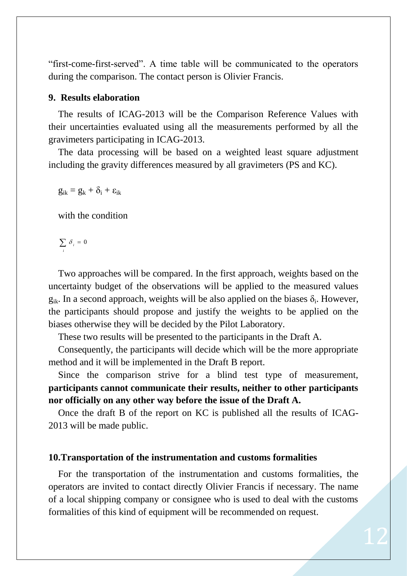"first-come-first-served". A time table will be communicated to the operators during the comparison. The contact person is Olivier Francis.

# **9. Results elaboration**

The results of ICAG-2013 will be the Comparison Reference Values with their uncertainties evaluated using all the measurements performed by all the gravimeters participating in ICAG-2013.

The data processing will be based on a weighted least square adjustment including the gravity differences measured by all gravimeters (PS and KC).

 $g_{ik} = g_k + \delta_i + \epsilon_{ik}$ 

with the condition

$$
\sum_i \delta_i = 0
$$

Two approaches will be compared. In the first approach, weights based on the uncertainty budget of the observations will be applied to the measured values  $g_{ik}$ . In a second approach, weights will be also applied on the biases  $\delta_i$ . However, the participants should propose and justify the weights to be applied on the biases otherwise they will be decided by the Pilot Laboratory.

These two results will be presented to the participants in the Draft A.

Consequently, the participants will decide which will be the more appropriate method and it will be implemented in the Draft B report.

Since the comparison strive for a blind test type of measurement, **participants cannot communicate their results, neither to other participants nor officially on any other way before the issue of the Draft A.**

Once the draft B of the report on KC is published all the results of ICAG-2013 will be made public.

### **10.Transportation of the instrumentation and customs formalities**

For the transportation of the instrumentation and customs formalities, the operators are invited to contact directly Olivier Francis if necessary. The name of a local shipping company or consignee who is used to deal with the customs formalities of this kind of equipment will be recommended on request.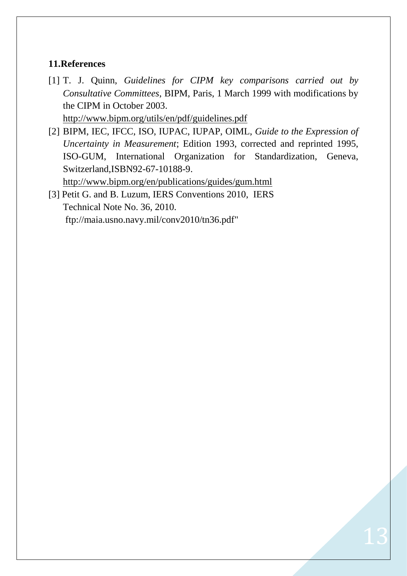# **11.References**

- [1] T. J. Quinn, *Guidelines for CIPM key comparisons carried out by Consultative Committees*, BIPM, Paris, 1 March 1999 with modifications by the CIPM in October 2003. [http://www.bipm.org/utils/en/pdf/guidelines.pdf](https://www.bipm.org/utils/en/pdf/guidelines.pdf)
- [2] BIPM, IEC, IFCC, ISO, IUPAC, IUPAP, OIML, *Guide to the Expression of Uncertainty in Measurement*; Edition 1993, corrected and reprinted 1995, ISO-GUM, International Organization for Standardization, Geneva,

Switzerland,ISBN92-67-10188-9. [http://www.bipm.org/en/publications/guides/gum.html](https://www.bipm.org/en/publications/guides/gum.html)

[3] Petit G. and B. Luzum, IERS Conventions 2010, IERS Technical Note No. 36, 2010. [ftp://maia.usno.navy.mil/conv2010/tn36.pdf"](ftp://maia.usno.navy.mil/conv2010/tn36.pdf)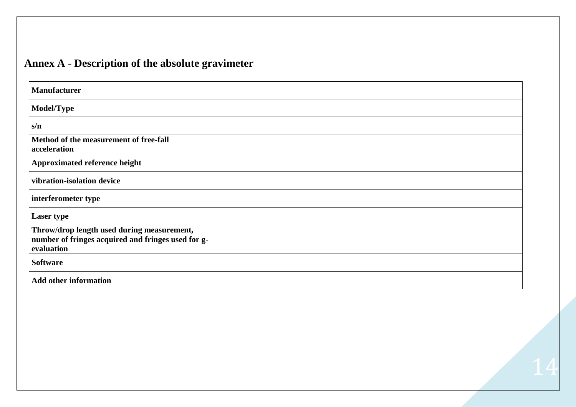# **Annex A - Description of the absolute gravimeter**

| <b>Manufacturer</b>                                                                                            |  |
|----------------------------------------------------------------------------------------------------------------|--|
| <b>Model/Type</b>                                                                                              |  |
| s/n                                                                                                            |  |
| Method of the measurement of free-fall<br>acceleration                                                         |  |
| <b>Approximated reference height</b>                                                                           |  |
| vibration-isolation device                                                                                     |  |
| interferometer type                                                                                            |  |
| <b>Laser type</b>                                                                                              |  |
| Throw/drop length used during measurement,<br>number of fringes acquired and fringes used for g-<br>evaluation |  |
| <b>Software</b>                                                                                                |  |
| <b>Add other information</b>                                                                                   |  |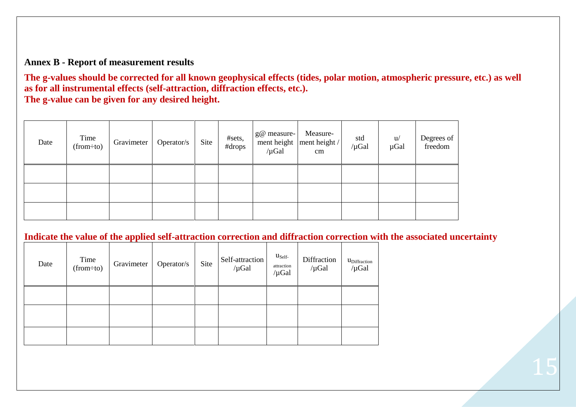# **Annex B - Report of measurement results**

**The g-values should be corrected for all known geophysical effects (tides, polar motion, atmospheric pressure, etc.) as well as for all instrumental effects (self-attraction, diffraction effects, etc.). The g-value can be given for any desired height.**

| Date | Time<br>$(from \div to)$ | Gravimeter | Operator/s | Site | #sets,<br>#drops | g@ measure-<br>$/\mu$ Gal | Measure-<br>ment height   ment height /<br>cm | std<br>$/\mu$ Gal | u/<br>µGal | Degrees of<br>freedom |
|------|--------------------------|------------|------------|------|------------------|---------------------------|-----------------------------------------------|-------------------|------------|-----------------------|
|      |                          |            |            |      |                  |                           |                                               |                   |            |                       |
|      |                          |            |            |      |                  |                           |                                               |                   |            |                       |
|      |                          |            |            |      |                  |                           |                                               |                   |            |                       |

**Indicate the value of the applied self-attraction correction and diffraction correction with the associated uncertainty** 

| Date | Time<br>(from:to) | Gravimeter | Operator/s | Site | Self-attraction<br>$/\mu$ Gal | $u_{\text{Self}}$<br>attraction<br>$/\mu$ Gal | Diffraction<br>$/\mu$ Gal | UDiffraction<br>$/\mu$ Gal |
|------|-------------------|------------|------------|------|-------------------------------|-----------------------------------------------|---------------------------|----------------------------|
|      |                   |            |            |      |                               |                                               |                           |                            |
|      |                   |            |            |      |                               |                                               |                           |                            |
|      |                   |            |            |      |                               |                                               |                           |                            |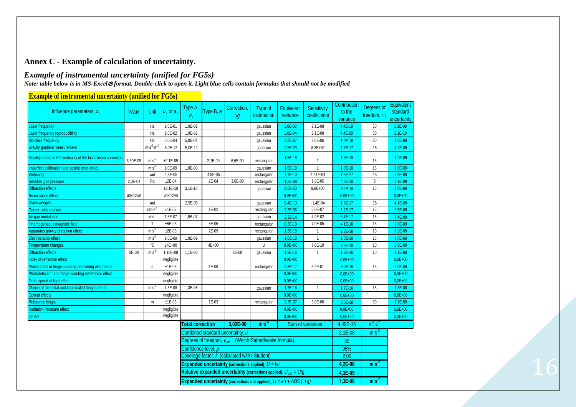## **Annex C - Example of calculation of uncertainty.**

### *Example of instrumental uncertainty (unified for FG5s)*

*Note: table below is in MS-Excel format. Double-click to open it. Light blue cells contain formulas that should not be modified*

| Influence parameters, $x_i$                                          | Value                                                                  | Unit                                           | $u_i$ or $a_i$ | Type A,<br>$\sigma_i$   | Type B, $a_i$ | Correction.<br>$\Delta g$        | Type of<br>distribution                                            | <b>Equivalent</b><br>variance                                                                 | <b>Sensitivity</b><br>coefficients | Contribution<br>to the<br>variance | Degrees of<br>freedom, $\nu$ | Equivalent<br>standard<br>uncertainty |
|----------------------------------------------------------------------|------------------------------------------------------------------------|------------------------------------------------|----------------|-------------------------|---------------|----------------------------------|--------------------------------------------------------------------|-----------------------------------------------------------------------------------------------|------------------------------------|------------------------------------|------------------------------|---------------------------------------|
| Laser frequency                                                      |                                                                        | Hz                                             | 1,0E-01        | 1,0E-01                 |               |                                  | gaussian                                                           | 1,0E-02                                                                                       | 2,1E-08                            | 4,4E-18                            | 30                           | $2,1E-09$                             |
| Laser frequency reproducibility                                      |                                                                        | Hz                                             | 1.0E-02        | 1.0E-02                 |               |                                  | gaussian                                                           | 1,0E-04                                                                                       | 2,1E-08                            | 4,4E-20                            | 30                           | $2,1E-10$                             |
| <b>Rb-clock frequency</b>                                            |                                                                        | Hz                                             | 5,0E-04        | 5,0E-04                 |               |                                  | gaussian                                                           | 2,5E-07                                                                                       | 2,0E-06                            | $1,0E-18$                          | 30                           | 1,0E-09                               |
| <b>Gravity gradient measurement</b>                                  |                                                                        | $m·s-2·m$                                      | 5,0E-12        | 5,0E-12                 |               |                                  | gaussian                                                           | 2,5E-23                                                                                       | 8,3E+02                            | 1,7E-17                            | 15                           | 4,2E-09                               |
| Misalignments in the verticality of the laser beam correction        | 6,60E-09                                                               | $m·s-2$                                        | $±2,1E-09$     |                         | 2,1E-09       | 6,6E-09                          | rectangular                                                        | 1,5E-18                                                                                       |                                    | 1,5E-18                            | 15                           | 1,2E-09                               |
| Imperfect collimation and cosine error effect                        |                                                                        | $m·s-2$                                        | 1,0E-09        | $1,0E-09$               |               |                                  | qaussian                                                           | $1,0E-18$                                                                                     | $\mathbf{1}$                       | $1,0E-18$                          | 15                           | $1,0E-09$                             |
| Verticality                                                          |                                                                        | rad                                            | 4,8E-05        |                         | $4,8E-05$     |                                  | rectangular                                                        | 7,7E-10                                                                                       | 1,41E-04                           | $1,5E-17$                          | 15                           | 3,9E-09                               |
| Residual gas pressure                                                | 2,0E-04                                                                | Pa                                             | $±2E-04$       |                         | 2E-04         | 3,6E-09                          | rectangular                                                        | 1,3E-08                                                                                       | 1,8E-05                            | 4,3E-18                            | $5\phantom{.0}$              | $2,1E-09$                             |
| <b>Diffraction effects</b>                                           |                                                                        |                                                | $±3,1E-10$     | $3,1E-10$               |               |                                  | gaussian                                                           | 9,6E-20                                                                                       | $9,8E+00$                          | $9,2E-18$                          | 15                           | 3,0E-09                               |
| Beam shear effect                                                    | unknown                                                                |                                                | unknown        |                         |               |                                  |                                                                    | $0,0E+00$                                                                                     |                                    | $0,0E+00$                          |                              | $0.0E + 00$                           |
| <b>Glass wedges</b>                                                  |                                                                        | rad                                            |                | 2,9E-05                 |               |                                  | gaussian                                                           | 8,4E-10                                                                                       | $-1,4E-04$                         | 1,6E-17                            | 15                           | 4,1E-09                               |
| Corner cube rotation                                                 |                                                                        | rads                                           | $±1E-02$       |                         | 1E-02         |                                  | rectangular                                                        | 3,3E-05                                                                                       | 6,0E-07                            | $1,2E-17$                          | 15                           | 3,5E-09                               |
| Air gap modulation                                                   |                                                                        | mm                                             | 1,5E-07        | 1,5E-07                 |               |                                  | gaussian                                                           | 2,3E-14                                                                                       | 4,9E-02                            | $5,4E-17$                          | 15                           | 7,4E-09                               |
| Inhomogeneous magnetic field                                         |                                                                        | $\mathsf{T}$                                   | $±5E-05$       |                         | 5E-05         |                                  | rectangular                                                        | 8,3E-10                                                                                       | 7,0E-05                            | 4,1E-18                            | 15                           | 2,0E-09                               |
| Apparatus gravity attraction effect                                  |                                                                        | $m·s-2$                                        | $±2E-09$       |                         | 2E-09         |                                  | rectangular                                                        | 1,3E-18                                                                                       | $\mathbf{1}$                       | 1,3E-18                            | 10                           | $1,2E-09$                             |
| <b>Electrostatics effect</b>                                         |                                                                        | $m·s-2$                                        | 1,0E-09        | 1,0E-09                 |               |                                  | gaussian                                                           | $1,0E-18$                                                                                     |                                    | 1,0E-18                            | 15                           | 1,0E-09                               |
| Temperature changes                                                  |                                                                        | °C                                             | $±4E+00$       |                         | $4E + 00$     |                                  | U                                                                  | 8,0E+00                                                                                       | 7,0E-10                            | 3,9E-18                            | 10                           | 2.0E-09                               |
| <b>Diffraction effects</b>                                           | 2E-08                                                                  | $m·s-2$                                        | 1,10E-08       | 1,1E-08                 |               | 2E-08                            | gaussian                                                           | 1,2E-16                                                                                       |                                    | $1,2E-16$                          | 10                           | 1,1E-08                               |
| Index of refraction effect                                           |                                                                        |                                                | negligible     |                         |               |                                  |                                                                    | $0,0E+00$                                                                                     |                                    | $0,0E+00$                          |                              | $0.0E + 00$                           |
| Phase shifts in fringe counting and timing electronics               |                                                                        | $\mathsf{s}$                                   | $±1E-08$       |                         | 1E-08         |                                  | rectangular                                                        | 3,3E-17                                                                                       | 5,2E-01                            | 9,0E-18                            | 15                           | 3,0E-09                               |
| Photodetection and fringe counting electronics effect                |                                                                        |                                                | negligible     |                         |               |                                  |                                                                    | $0,0E+00$                                                                                     |                                    | $0.0E + 00$                        |                              | $0.0E + 00$                           |
| Finite speed of light effect                                         |                                                                        |                                                | negligible     |                         |               |                                  |                                                                    | $0,0E+00$                                                                                     |                                    | $0,0E+00$                          |                              | $0,0E+00$                             |
| Choice of the initial and final scaled fringes effect                |                                                                        | $m·s-2$                                        | 1,3E-08        | 1,3E-08                 |               |                                  | gaussian                                                           | $1,7E-16$                                                                                     | $\mathbf{1}$                       | 1,7E-16                            | 15                           | 1,3E-08                               |
| <b>Optical effects</b>                                               |                                                                        |                                                | negligible     |                         |               |                                  |                                                                    | $0,0E+00$                                                                                     |                                    | $0,0E+00$                          |                              | $0.0E + 00$                           |
| Reference height                                                     |                                                                        | m                                              | $±1E-03$       |                         | 1E-03         |                                  | rectangular                                                        | 3,3E-07                                                                                       | 3,0E-06                            | 3,0E-18                            | 30                           | 1,7E-09                               |
| <b>Radiation Pressure effect</b>                                     |                                                                        |                                                | negligible     |                         |               |                                  |                                                                    | $0,0E+00$                                                                                     |                                    | $0,0E+00$                          |                              | $0.0E + 00$                           |
| <b>Others</b>                                                        |                                                                        |                                                | negligible     |                         |               |                                  |                                                                    | $0,0E+00$                                                                                     |                                    | $0.0E + 00$                        |                              | $0,0E+00$                             |
|                                                                      |                                                                        |                                                |                | <b>Total correction</b> |               | 3.02E-08                         | ms <sup>2</sup>                                                    |                                                                                               | Sum of variances                   | 4,49E-16                           | $m^2s^2$                     |                                       |
|                                                                      |                                                                        |                                                |                |                         |               | Combined standard uncertainty, u |                                                                    |                                                                                               |                                    | 2,1E-08                            | $m·s-2$                      |                                       |
|                                                                      |                                                                        |                                                |                |                         |               |                                  | Degrees of freedom, $v_{\text{eff}}$ (Welch-Satterthwaite formula) |                                                                                               |                                    | 55                                 |                              |                                       |
|                                                                      |                                                                        |                                                |                | Confidence level, p     |               |                                  |                                                                    |                                                                                               |                                    |                                    |                              |                                       |
|                                                                      |                                                                        | Coverage factor, k (calculated with t-Student) |                |                         |               |                                  |                                                                    |                                                                                               |                                    | 95%<br>2,00                        |                              |                                       |
|                                                                      | <b>Expanded uncertainty (corrections applied), <math>U = ku</math></b> |                                                |                |                         |               |                                  |                                                                    |                                                                                               |                                    | 4,2E-08                            | ms <sup>2</sup>              |                                       |
| Relative expanded uncertainty (corrections applied), $U_{rel} = U/g$ |                                                                        |                                                |                |                         |               |                                  |                                                                    | 4,3E-09                                                                                       |                                    |                                    |                              |                                       |
|                                                                      |                                                                        |                                                |                |                         |               |                                  |                                                                    | <b>Expanded uncertainty (corrections not applied), <math>U = ku + ABS(\triangle q)</math></b> |                                    | 7,3E-08                            | $ms-2$                       |                                       |

### **Example of instrumental uncertainty (unified for FG5s)**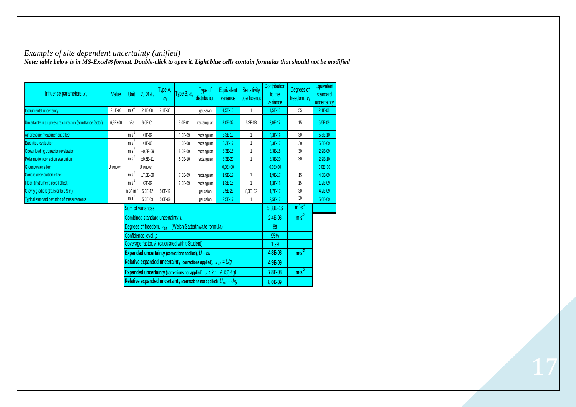### *Example of site dependent uncertainty (unified)*

*Note: table below is in MS-Excel format. Double-click to open it. Light blue cells contain formulas that should not be modified*

| Influence parameters, $x_i$                                | Value     | Unit             | $u_i$ or $a_i$      | Type A,<br>$\sigma_i$            | Type B, $a_i$                                  | Type of<br>distribution                                                                       | Equivalent<br>variance                                                   | Sensitivity<br>coefficients | Contribution<br>to the<br>variance | Degrees of<br>freedom, $v_i$ | Equivalent<br>standard<br>uncertainty |
|------------------------------------------------------------|-----------|------------------|---------------------|----------------------------------|------------------------------------------------|-----------------------------------------------------------------------------------------------|--------------------------------------------------------------------------|-----------------------------|------------------------------------|------------------------------|---------------------------------------|
| Instrumental uncertainty                                   | 2,1E-08   | $ms-2$           | 2,1E-08             | 2.1E-08                          |                                                | qaussian                                                                                      | 4.5E-16                                                                  | $\mathbf{1}$                | 4.5E-16                            | 55                           | $2.1E - 08$                           |
| Uncertainty in air pressure correction (admittance factor) | $6,3E+00$ | hPa              | 6,0E-01             |                                  | 3,0E-01                                        | rectangular                                                                                   | 3,0E-02                                                                  | 3,2E-08                     | 3,0E-17                            | 15                           | 5.5E-09                               |
| Air pressure measurement effect                            |           | $ms-2$           | $±1E-09$            |                                  | 1.0E-09                                        | rectangular                                                                                   | 3,3E-19                                                                  | $\mathbf{1}$                | 3.3E-19                            | 30                           | 5.8E-10                               |
| Earth tide evaluation                                      |           | $m·s-2$          | $±1E-08$            |                                  | 1.0E-08                                        | rectangular                                                                                   | $3.3E-17$                                                                | 1                           | 3.3E-17                            | 30                           | 5.8E-09                               |
| Ocean loading correction evaluation                        |           | $m·s-2$          | $±0,5E-09$          |                                  | 5,0E-09                                        | rectangular                                                                                   | 8,3E-18                                                                  | 1                           | 8,3E-18                            | 30                           | 2,9E-09                               |
| Polar motion correction evaluation                         |           | $m·s-2$          | $±0,5E-11$          |                                  | 5,0E-10                                        | rectangular                                                                                   | 8,3E-20                                                                  | $\mathbf{1}$                | 8.3E-20                            | 30                           | $2.9E - 10$                           |
| Groundwater effect                                         | Unknown   |                  | Unknown             |                                  |                                                |                                                                                               | $0.0E + 00$                                                              |                             | $0.0E + 00$                        |                              | $0.0E + 00$                           |
| Coriolis acceleration effect                               |           | $ms-2$           | $±7,5E-09$          |                                  | 7,5E-09                                        | rectangular                                                                                   | $1.9E - 17$                                                              | $\mathbf{1}$                | $1.9E - 17$                        | 15                           | 4.3E-09                               |
| Floor (instrument) recoil effect                           |           | $m·s-2$          | $±2E-09$            |                                  | 2.0E-09                                        | rectangular                                                                                   | $1.3E-18$                                                                | 1                           | $1.3E - 18$                        | 15                           | $1.2E - 09$                           |
| Gravity gradient (transfer to 0.9 m)                       |           | $m·s-2·m-1$      | 5.0E-12             | 5.0E-12                          |                                                | qaussian                                                                                      | $2.5E-23$                                                                | $8.3E + 02$                 | $1.7E - 17$                        | 30                           | $4.2E - 09$                           |
| <b>Typical standard deviation of measurements</b>          |           | $ms-2$           | 5,0E-09             | 5.0E-09                          |                                                | gaussian                                                                                      | $2,5E-17$                                                                | 1                           | $2.5E-17$                          | 30                           | 5,0E-09                               |
|                                                            |           | Sum of variances |                     |                                  |                                                |                                                                                               |                                                                          |                             |                                    | $m2 s-4$                     |                                       |
|                                                            |           |                  |                     | Combined standard uncertainty, u |                                                |                                                                                               |                                                                          |                             | $2,4E-08$                          | ms <sup>2</sup>              |                                       |
|                                                            |           |                  |                     |                                  |                                                | Degrees of freedom, $v_{\text{eff}}$ (Welch-Satterthwaite formula)                            |                                                                          |                             | 89                                 |                              |                                       |
|                                                            |           |                  | Confidence level, p |                                  |                                                |                                                                                               |                                                                          |                             | 95%                                |                              |                                       |
|                                                            |           |                  |                     |                                  | Coverage factor, k (calculated with t-Student) |                                                                                               |                                                                          |                             | 1,99                               |                              |                                       |
| Expanded uncertainty (corrections applied), $U = ku$       |           |                  |                     |                                  |                                                |                                                                                               |                                                                          |                             | 4,8E-08                            | $ms-2$                       |                                       |
|                                                            |           |                  |                     |                                  |                                                | Relative expanded uncertainty (corrections applied), $U_{rel} = U/g$                          |                                                                          |                             | 4,9E-09                            |                              |                                       |
|                                                            |           |                  |                     |                                  |                                                | <b>Expanded uncertainty (corrections not applied), <math>U = ku + ABS(\triangle g)</math></b> |                                                                          |                             | 7,8E-08                            | ms <sup>2</sup>              |                                       |
|                                                            |           |                  |                     |                                  |                                                |                                                                                               | Relative expanded uncertainty (corrections not applied), $U_{rel} = U/g$ |                             | 8,0E-09                            |                              |                                       |